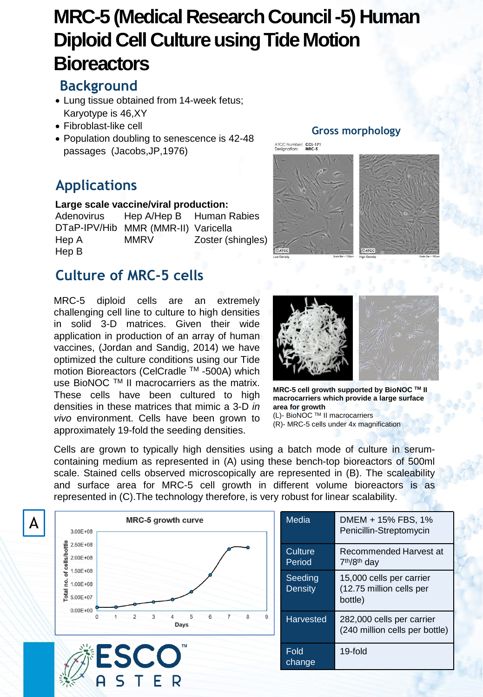# **MRC-5 (Medical Research Council -5) Human Diploid Cell Culture using Tide Motion Bioreactors**

## **Background**

- Lung tissue obtained from 14-week fetus; Karyotype is 46,XY
- Fibroblast-like cell
- Population doubling to senescence is 42-48 passages (Jacobs,JP,1976)

# **Applications**

### **Large scale vaccine/viral production:**

Adenovirus DTaP-IPV/Hib MMR (MMR-II) Varicella Hep A Hep B Human Rabies Zoster (shingles) Hep A/Hep B **MMRV** 

# **Culture of MRC-5 cells**

MRC-5 diploid cells are an extremely challenging cell line to culture to high densities in solid 3-D matrices. Given their wide application in production of an array of human vaccines, (Jordan and Sandig, 2014) we have optimized the culture conditions using our Tide motion Bioreactors (CelCradle ™ -500A) which use BioNOC TM II macrocarriers as the matrix. These cells have been cultured to high densities in these matrices that mimic a 3-D *in vivo* environment. Cells have been grown to approximately 19-fold the seeding densities.

### **Gross morphology**

ATCC Number: CCL-171<br>Designation: MRC-5



**MRC-5 cell growth supported by BioNOC TM II macrocarriers which provide a large surface area for growth** (L)- BioNOC TM II macrocarriers

(R)- MRC-5 cells under 4x magnification

Cells are grown to typically high densities using a batch mode of culture in serumcontaining medium as represented in (A) using these bench-top bioreactors of 500ml scale. Stained cells observed microscopically are represented in (B). The scaleability and surface area for MRC-5 cell growth in different volume bioreactors is as represented in (C).The technology therefore, is very robust for linear scalability.



| Media                     | DMEM + 15% FBS, 1%<br>Penicillin-Streptomycin                   |
|---------------------------|-----------------------------------------------------------------|
| Culture<br>Period         | Recommended Harvest at<br>7 <sup>th</sup> /8 <sup>th</sup> day  |
| Seeding<br><b>Density</b> | 15,000 cells per carrier<br>(12.75 million cells per<br>bottle) |
| <b>Harvested</b>          | 282,000 cells per carrier<br>(240 million cells per bottle)     |
| Fold<br>change            | 19-fold                                                         |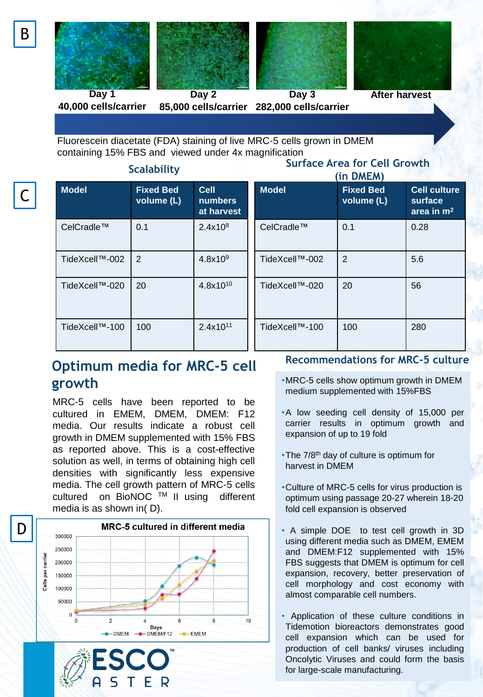





**Day 1 40,000 cells/carrier**

**Day 2 85,000 cells/carrier 282,000 cells/carrier**

Fluorescein diacetate (FDA) staining of live MRC-5 cells grown in DMEM

**Day 3**



**After harvest**

containing 15% FBS and viewed under 4x magnification

### **Scalability**

# **Surface Area for Cell Growth**

| 55500          |                                |                                             | (in DMEM)      |                                |                                                |
|----------------|--------------------------------|---------------------------------------------|----------------|--------------------------------|------------------------------------------------|
| <b>Model</b>   | <b>Fixed Bed</b><br>volume (L) | <b>Cell</b><br><b>numbers</b><br>at harvest | <b>Model</b>   | <b>Fixed Bed</b><br>volume (L) | <b>Cell culture</b><br>surface<br>area in $m2$ |
| CelCradle™     | 0.1                            | 2.4x10 <sup>8</sup>                         | CelCradle™     | 0.1                            | 0.28                                           |
| TideXcell™-002 | 2                              | 4.8x10 <sup>9</sup>                         | TideXcell™-002 | 2                              | 5.6                                            |
| TideXcell™-020 | 20                             | $4.8x10^{10}$                               | TideXcell™-020 | 20                             | 56                                             |
| TideXcell™-100 | 100                            | $2.4x10^{11}$                               | TideXcell™-100 | 100                            | 280                                            |

## **Optimum media for MRC-5 cell growth**

MRC-5 cells have been reported to be cultured in EMEM, DMEM, DMEM: F12 media. Our results indicate a robust cell growth in DMEM supplemented with 15% FBS as reported above. This is a cost-effective solution as well, in terms of obtaining high cell densities with significantly less expensive media. The cell growth pattern of MRC-5 cells cultured on BioNOC TM II using different media is as shown in( D).





### **Recommendations for MRC-5 culture**

- •MRC-5 cells show optimum growth in DMEM medium supplemented with 15%FBS
- •A low seeding cell density of 15,000 per carrier results in optimum growth and expansion of up to 19 fold
- •The 7/8<sup>th</sup> day of culture is optimum for harvest in DMEM
- •Culture of MRC-5 cells for virus production is optimum using passage 20-27 wherein 18-20 fold cell expansion is observed
- A simple DOE to test cell growth in 3D using different media such as DMEM, EMEM and DMEM:F12 supplemented with 15% FBS suggests that DMEM is optimum for cell expansion, recovery, better preservation of cell morphology and cost economy with almost comparable cell numbers.
- Application of these culture conditions in Tidemotion bioreactors demonstrates good cell expansion which can be used for production of cell banks/ viruses including Oncolytic Viruses and could form the basis for large-scale manufacturing.

C